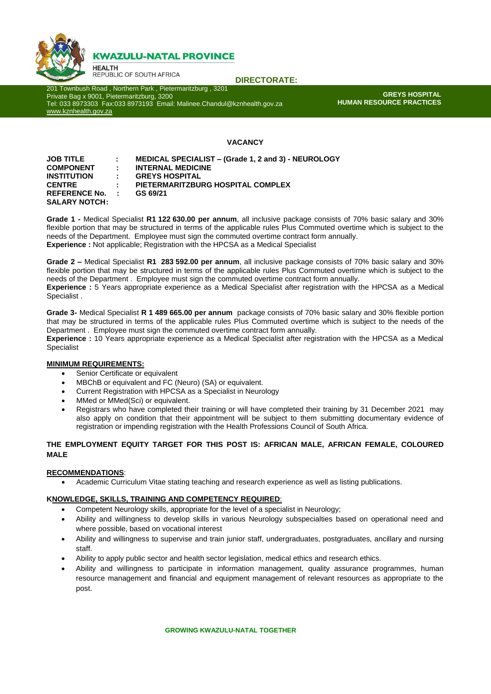

# **KWAZULU-NATAL PROVINCE**

**HEALTH** REPUBLIC OF SOUTH AFRICA

**DIRECTORATE:**

201 Townbush Road , Northern Park , Pietermaritzburg , 3201 Private Bag x 9001, Pietermaritzburg, 3200 Tel: 033 8973303 Fax:033 8973193 Email: Malinee.Chandul@kznhealth.gov.za [www.kznhealth.gov.za](http://www.kznhealth.gov.za/)

**GREYS HOSPITAL HUMAN RESOURCE PRACTICES**

## **VACANCY**

| <b>JOB TITLE</b>     |             | MEDICAL SPECIALIST – (Grade 1, 2 and 3) - NEUROLOGY |
|----------------------|-------------|-----------------------------------------------------|
| <b>COMPONENT</b>     | ÷.          | <b>INTERNAL MEDICINE</b>                            |
| <b>INSTITUTION</b>   | ÷.          | <b>GREYS HOSPITAL</b>                               |
| <b>CENTRE</b>        |             | PIETERMARITZBURG HOSPITAL COMPLEX                   |
| <b>REFERENCE No.</b> | the control | GS 69/21                                            |
| <b>SALARY NOTCH:</b> |             |                                                     |

**Grade 1 -** Medical Specialist **R1 122 630.00 per annum**, all inclusive package consists of 70% basic salary and 30% flexible portion that may be structured in terms of the applicable rules Plus Commuted overtime which is subject to the needs of the Department. Employee must sign the commuted overtime contract form annually. **Experience :** Not applicable; Registration with the HPCSA as a Medical Specialist

**Grade 2 –** Medical Specialist **R1 283 592.00 per annum**, all inclusive package consists of 70% basic salary and 30% flexible portion that may be structured in terms of the applicable rules Plus Commuted overtime which is subject to the needs of the Department . Employee must sign the commuted overtime contract form annually. **Experience :** 5 Years appropriate experience as a Medical Specialist after registration with the HPCSA as a Medical Specialist .

**Grade 3-** Medical Specialist **R 1 489 665.00 per annum** package consists of 70% basic salary and 30% flexible portion that may be structured in terms of the applicable rules Plus Commuted overtime which is subject to the needs of the Department . Employee must sign the commuted overtime contract form annually.

**Experience :** 10 Years appropriate experience as a Medical Specialist after registration with the HPCSA as a Medical **Specialist** 

#### **MINIMUM REQUIREMENTS:**

- Senior Certificate or equivalent
- MBChB or equivalent and FC (Neuro) (SA) or equivalent.
- Current Registration with HPCSA as a Specialist in Neurology
- MMed or MMed(Sci) or equivalent.
- Registrars who have completed their training or will have completed their training by 31 December 2021 may also apply on condition that their appointment will be subject to them submitting documentary evidence of registration or impending registration with the Health Professions Council of South Africa.

#### **THE EMPLOYMENT EQUITY TARGET FOR THIS POST IS: AFRICAN MALE, AFRICAN FEMALE, COLOURED MALE**

#### **RECOMMENDATIONS**:

Academic Curriculum Vitae stating teaching and research experience as well as listing publications.

#### **KNOWLEDGE, SKILLS, TRAINING AND COMPETENCY REQUIRED**:

- Competent Neurology skills, appropriate for the level of a specialist in Neurology;
- Ability and willingness to develop skills in various Neurology subspecialties based on operational need and where possible, based on vocational interest
- Ability and willingness to supervise and train junior staff, undergraduates, postgraduates, ancillary and nursing staff.
- Ability to apply public sector and health sector legislation, medical ethics and research ethics.
- Ability and willingness to participate in information management, quality assurance programmes, human resource management and financial and equipment management of relevant resources as appropriate to the post.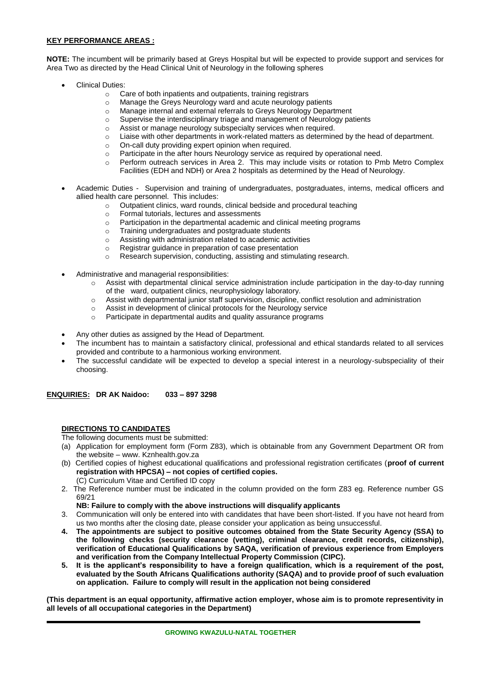## **KEY PERFORMANCE AREAS :**

**NOTE:** The incumbent will be primarily based at Greys Hospital but will be expected to provide support and services for Area Two as directed by the Head Clinical Unit of Neurology in the following spheres

- Clinical Duties:
	- o Care of both inpatients and outpatients, training registrars
	- o Manage the Greys Neurology ward and acute neurology patients
	- o Manage internal and external referrals to Greys Neurology Department
	- Supervise the interdisciplinary triage and management of Neurology patients
	- o Assist or manage neurology subspecialty services when required.
	- o Liaise with other departments in work-related matters as determined by the head of department.
	- On-call duty providing expert opinion when required.
	- o Participate in the after hours Neurology service as required by operational need.
	- o Perform outreach services in Area 2. This may include visits or rotation to Pmb Metro Complex Facilities (EDH and NDH) or Area 2 hospitals as determined by the Head of Neurology.
- Academic Duties Supervision and training of undergraduates, postgraduates, interns, medical officers and allied health care personnel. This includes:
	- o Outpatient clinics, ward rounds, clinical bedside and procedural teaching
	- o Formal tutorials, lectures and assessments
	- o Participation in the departmental academic and clinical meeting programs
	- o Training undergraduates and postgraduate students
	- o Assisting with administration related to academic activities
	- o Registrar guidance in preparation of case presentation
	- Research supervision, conducting, assisting and stimulating research.
- Administrative and managerial responsibilities:
	- Assist with departmental clinical service administration include participation in the day-to-day running of the ward, outpatient clinics, neurophysiology laboratory.
	- o Assist with departmental junior staff supervision, discipline, conflict resolution and administration
	- o Assist in development of clinical protocols for the Neurology service
	- o Participate in departmental audits and quality assurance programs
- Any other duties as assigned by the Head of Department.
- The incumbent has to maintain a satisfactory clinical, professional and ethical standards related to all services provided and contribute to a harmonious working environment.
- The successful candidate will be expected to develop a special interest in a neurology-subspeciality of their choosing.

**ENQUIRIES: DR AK Naidoo: 033 – 897 3298**

#### **DIRECTIONS TO CANDIDATES**

The following documents must be submitted:

- (a) Application for employment form (Form Z83), which is obtainable from any Government Department OR from the website – www. Kznhealth.gov.za
- (b) Certified copies of highest educational qualifications and professional registration certificates (**proof of current registration with HPCSA) – not copies of certified copies.** (C) Curriculum Vitae and Certified ID copy
- 2. The Reference number must be indicated in the column provided on the form Z83 eg. Reference number GS 69/21
	- **NB: Failure to comply with the above instructions will disqualify applicants**
- 3. Communication will only be entered into with candidates that have been short-listed. If you have not heard from us two months after the closing date, please consider your application as being unsuccessful.
- **4. The appointments are subject to positive outcomes obtained from the State Security Agency (SSA) to the following checks (security clearance (vetting), criminal clearance, credit records, citizenship), verification of Educational Qualifications by SAQA, verification of previous experience from Employers and verification from the Company Intellectual Property Commission (CIPC).**
- **5. It is the applicant's responsibility to have a foreign qualification, which is a requirement of the post, evaluated by the South Africans Qualifications authority (SAQA) and to provide proof of such evaluation on application. Failure to comply will result in the application not being considered**

**(This department is an equal opportunity, affirmative action employer, whose aim is to promote representivity in all levels of all occupational categories in the Department)**